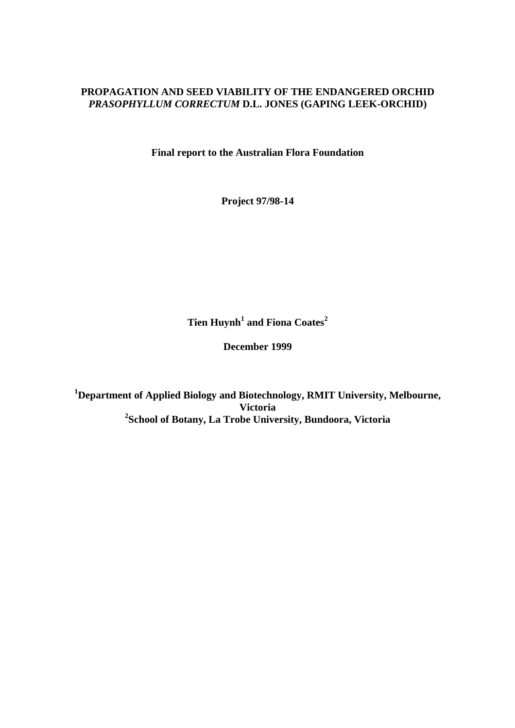# **PROPAGATION AND SEED VIABILITY OF THE ENDANGERED ORCHID**  *PRASOPHYLLUM CORRECTUM* **D.L. JONES (GAPING LEEK-ORCHID)**

**Final report to the Australian Flora Foundation** 

**Project 97/98-14** 

Tien Huynh<sup>1</sup> and Fiona Coates<sup>2</sup>

**December 1999** 

**1 Department of Applied Biology and Biotechnology, RMIT University, Melbourne, Victoria 2 School of Botany, La Trobe University, Bundoora, Victoria**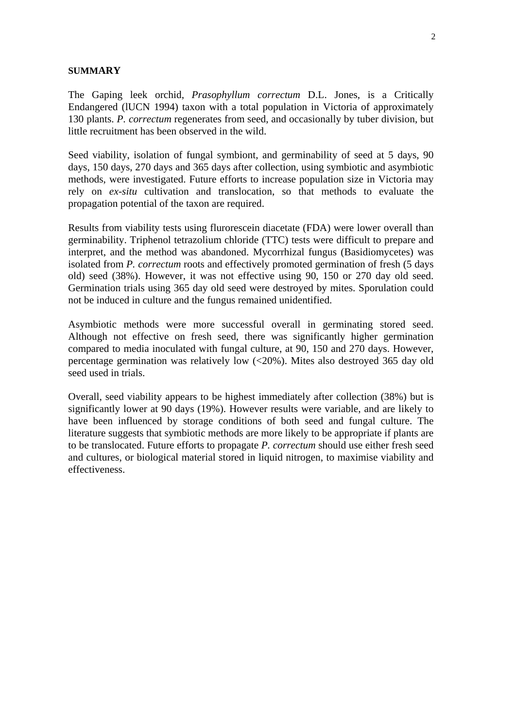#### **SUMMARY**

The Gaping leek orchid, *Prasophyllum correctum* D.L. Jones, is a Critically Endangered (lUCN 1994) taxon with a total population in Victoria of approximately 130 plants. *P. correctum* regenerates from seed, and occasionally by tuber division, but little recruitment has been observed in the wild.

Seed viability, isolation of fungal symbiont, and germinability of seed at 5 days, 90 days, 150 days, 270 days and 365 days after collection, using symbiotic and asymbiotic methods, were investigated. Future efforts to increase population size in Victoria may rely on *ex-situ* cultivation and translocation, so that methods to evaluate the propagation potential of the taxon are required.

Results from viability tests using flurorescein diacetate (FDA) were lower overall than germinability. Triphenol tetrazolium chloride (TTC) tests were difficult to prepare and interpret, and the method was abandoned. Mycorrhizal fungus (Basidiomycetes) was isolated from *P. correctum* roots and effectively promoted germination of fresh (5 days old) seed (38%). However, it was not effective using 90, 150 or 270 day old seed. Germination trials using 365 day old seed were destroyed by mites. Sporulation could not be induced in culture and the fungus remained unidentified.

Asymbiotic methods were more successful overall in germinating stored seed. Although not effective on fresh seed, there was significantly higher germination compared to media inoculated with fungal culture, at 90, 150 and 270 days. However, percentage germination was relatively low (<20%). Mites also destroyed 365 day old seed used in trials.

Overall, seed viability appears to be highest immediately after collection (38%) but is significantly lower at 90 days (19%). However results were variable, and are likely to have been influenced by storage conditions of both seed and fungal culture. The literature suggests that symbiotic methods are more likely to be appropriate if plants are to be translocated. Future efforts to propagate *P. correctum* should use either fresh seed and cultures, or biological material stored in liquid nitrogen, to maximise viability and effectiveness.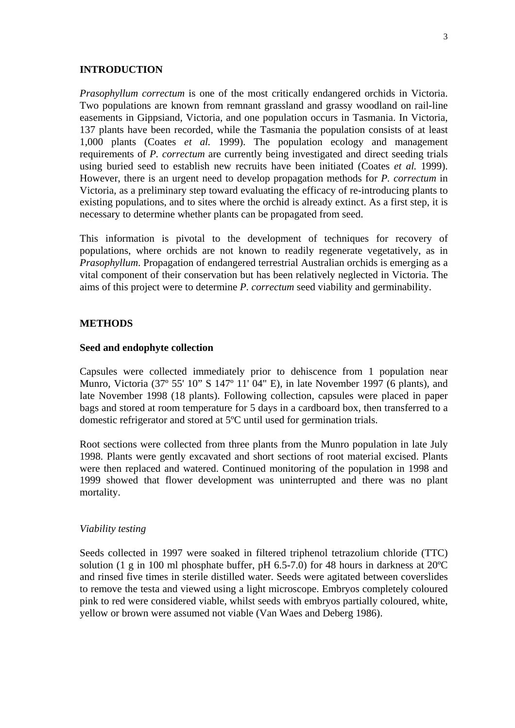#### **INTRODUCTION**

*Prasophyllum correctum* is one of the most critically endangered orchids in Victoria. Two populations are known from remnant grassland and grassy woodland on rail-line easements in Gippsiand, Victoria, and one population occurs in Tasmania. In Victoria, 137 plants have been recorded, while the Tasmania the population consists of at least 1,000 plants (Coates *et al.* 1999). The population ecology and management requirements of *P. correctum* are currently being investigated and direct seeding trials using buried seed to establish new recruits have been initiated (Coates *et al.* 1999). However, there is an urgent need to develop propagation methods for *P. correctum* in Victoria, as a preliminary step toward evaluating the efficacy of re-introducing plants to existing populations, and to sites where the orchid is already extinct. As a first step, it is necessary to determine whether plants can be propagated from seed.

This information is pivotal to the development of techniques for recovery of populations, where orchids are not known to readily regenerate vegetatively, as in *Prasophyllum*. Propagation of endangered terrestrial Australian orchids is emerging as a vital component of their conservation but has been relatively neglected in Victoria. The aims of this project were to determine *P. correctum* seed viability and germinability.

#### **METHODS**

#### **Seed and endophyte collection**

Capsules were collected immediately prior to dehiscence from 1 population near Munro, Victoria (37º 55' 10" S 147º 11' 04" E), in late November 1997 (6 plants), and late November 1998 (18 plants). Following collection, capsules were placed in paper bags and stored at room temperature for 5 days in a cardboard box, then transferred to a domestic refrigerator and stored at 5ºC until used for germination trials.

Root sections were collected from three plants from the Munro population in late July 1998. Plants were gently excavated and short sections of root material excised. Plants were then replaced and watered. Continued monitoring of the population in 1998 and 1999 showed that flower development was uninterrupted and there was no plant mortality.

#### *Viability testing*

Seeds collected in 1997 were soaked in filtered triphenol tetrazolium chloride (TTC) solution (1 g in 100 ml phosphate buffer, pH 6.5-7.0) for 48 hours in darkness at 20ºC and rinsed five times in sterile distilled water. Seeds were agitated between coverslides to remove the testa and viewed using a light microscope. Embryos completely coloured pink to red were considered viable, whilst seeds with embryos partially coloured, white, yellow or brown were assumed not viable (Van Waes and Deberg 1986).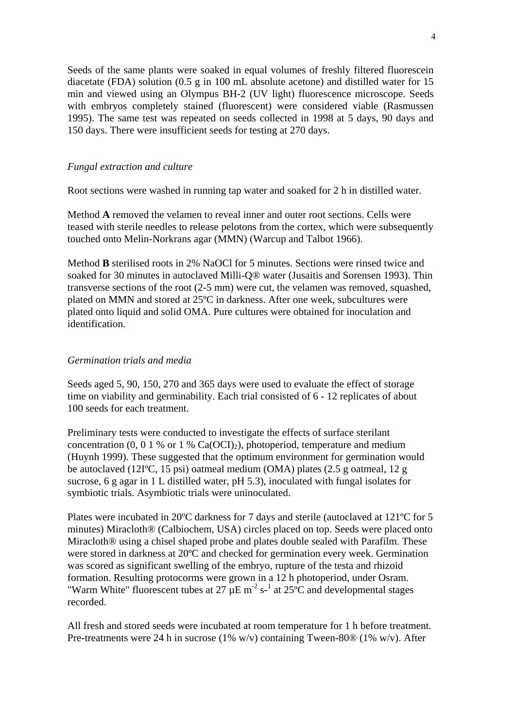Seeds of the same plants were soaked in equal volumes of freshly filtered fluorescein diacetate (FDA) solution (0.5 g in 100 mL absolute acetone) and distilled water for 15 min and viewed using an Olympus BH-2 (UV light) fluorescence microscope. Seeds with embryos completely stained (fluorescent) were considered viable (Rasmussen 1995). The same test was repeated on seeds collected in 1998 at 5 days, 90 days and 150 days. There were insufficient seeds for testing at 270 days.

# *Fungal extraction and culture*

Root sections were washed in running tap water and soaked for 2 h in distilled water.

Method **A** removed the velamen to reveal inner and outer root sections. Cells were teased with sterile needles to release pelotons from the cortex, which were subsequently touched onto Melin-Norkrans agar (MMN) (Warcup and Talbot 1966).

Method **B** sterilised roots in 2% NaOCl for 5 minutes. Sections were rinsed twice and soaked for 30 minutes in autoclaved Milli-Q® water (Jusaitis and Sorensen 1993). Thin transverse sections of the root (2-5 mm) were cut, the velamen was removed, squashed, plated on MMN and stored at 25ºC in darkness. After one week, subcultures were plated onto liquid and solid OMA. Pure cultures were obtained for inoculation and identification.

# *Germination trials and media*

Seeds aged 5, 90, 150, 270 and 365 days were used to evaluate the effect of storage time on viability and germinability. Each trial consisted of 6 - 12 replicates of about 100 seeds for each treatment.

Preliminary tests were conducted to investigate the effects of surface sterilant concentration (0, 0 1 % or 1 %  $Ca(OCI)_2$ ), photoperiod, temperature and medium (Huynh 1999). These suggested that the optimum environment for germination would be autoclaved (12IºC, 15 psi) oatmeal medium (OMA) plates (2.5 g oatmeal, 12 g sucrose, 6 g agar in 1 L distilled water, pH 5.3), inoculated with fungal isolates for symbiotic trials. Asymbiotic trials were uninoculated.

Plates were incubated in 20ºC darkness for 7 days and sterile (autoclaved at 121ºC for 5 minutes) Miracloth® (Calbiochem, USA) circles placed on top. Seeds were placed onto Miracloth® using a chisel shaped probe and plates double sealed with Parafilm. These were stored in darkness at 20ºC and checked for germination every week. Germination was scored as significant swelling of the embryo, rupture of the testa and rhizoid formation. Resulting protocorms were grown in a 12 h photoperiod, under Osram. "Warm White" fluorescent tubes at 27  $\mu$ E m<sup>-2</sup> s<sup>-1</sup> at 25°C and developmental stages recorded.

All fresh and stored seeds were incubated at room temperature for 1 h before treatment. Pre-treatments were 24 h in sucrose (1% w/v) containing Tween-80® (1% w/v). After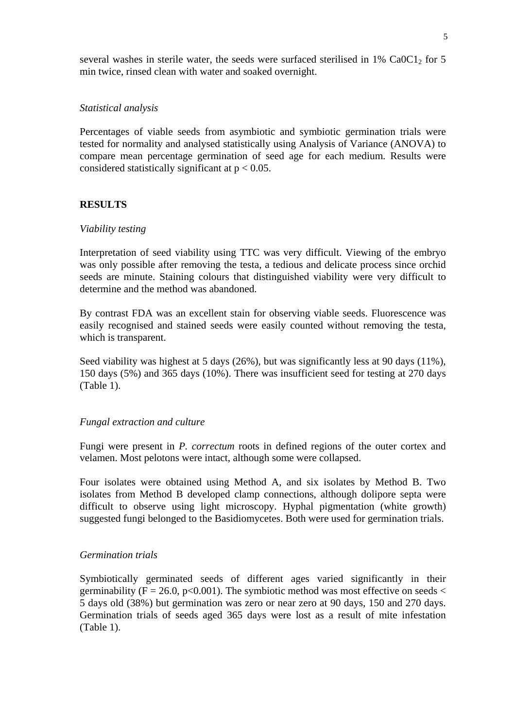several washes in sterile water, the seeds were surfaced sterilised in  $1\%$  Ca0C1<sub>2</sub> for 5 min twice, rinsed clean with water and soaked overnight.

# *Statistical analysis*

Percentages of viable seeds from asymbiotic and symbiotic germination trials were tested for normality and analysed statistically using Analysis of Variance (ANOVA) to compare mean percentage germination of seed age for each medium. Results were considered statistically significant at  $p < 0.05$ .

# **RESULTS**

# *Viability testing*

Interpretation of seed viability using TTC was very difficult. Viewing of the embryo was only possible after removing the testa, a tedious and delicate process since orchid seeds are minute. Staining colours that distinguished viability were very difficult to determine and the method was abandoned.

By contrast FDA was an excellent stain for observing viable seeds. Fluorescence was easily recognised and stained seeds were easily counted without removing the testa, which is transparent.

Seed viability was highest at 5 days (26%), but was significantly less at 90 days (11%), 150 days (5%) and 365 days (10%). There was insufficient seed for testing at 270 days (Table 1).

# *Fungal extraction and culture*

Fungi were present in *P. correctum* roots in defined regions of the outer cortex and velamen. Most pelotons were intact, although some were collapsed.

Four isolates were obtained using Method A, and six isolates by Method B. Two isolates from Method B developed clamp connections, although dolipore septa were difficult to observe using light microscopy. Hyphal pigmentation (white growth) suggested fungi belonged to the Basidiomycetes. Both were used for germination trials.

# *Germination trials*

Symbiotically germinated seeds of different ages varied significantly in their germinability ( $F = 26.0$ ,  $p < 0.001$ ). The symbiotic method was most effective on seeds  $\lt$ 5 days old (38%) but germination was zero or near zero at 90 days, 150 and 270 days. Germination trials of seeds aged 365 days were lost as a result of mite infestation (Table 1).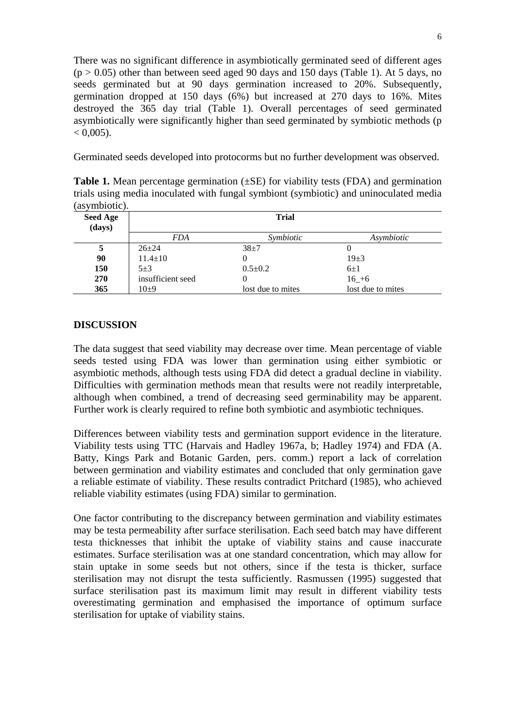There was no significant difference in asymbiotically germinated seed of different ages  $(p > 0.05)$  other than between seed aged 90 days and 150 days (Table 1). At 5 days, no seeds germinated but at 90 days germination increased to 20%. Subsequently, germination dropped at 150 days (6%) but increased at 270 days to 16%. Mites destroyed the 365 day trial (Table 1). Overall percentages of seed germinated asymbiotically were significantly higher than seed germinated by symbiotic methods (p  $< 0.005$ ).

Germinated seeds developed into protocorms but no further development was observed.

**Table 1.** Mean percentage germination ( $\pm$ SE) for viability tests (FDA) and germination trials using media inoculated with fungal symbiont (symbiotic) and uninoculated media (asymbiotic).

| <b>Seed Age</b><br>(days) | <b>Trial</b>      |                   |                   |
|---------------------------|-------------------|-------------------|-------------------|
|                           | <i>FDA</i>        | Symbiotic         | Asymbiotic        |
|                           | $26 + 24$         | $38 + 7$          | 0                 |
| 90                        | $11.4 \pm 10$     |                   | $19\pm3$          |
| 150                       | $5 + 3$           | $0.5 \pm 0.2$     | $6\pm1$           |
| <b>270</b>                | insufficient seed | O                 | $16 + 6$          |
| 365                       | $10\pm9$          | lost due to mites | lost due to mites |

# **DISCUSSION**

The data suggest that seed viability may decrease over time. Mean percentage of viable seeds tested using FDA was lower than germination using either symbiotic or asymbiotic methods, although tests using FDA did detect a gradual decline in viability. Difficulties with germination methods mean that results were not readily interpretable, although when combined, a trend of decreasing seed germinability may be apparent. Further work is clearly required to refine both symbiotic and asymbiotic techniques.

Differences between viability tests and germination support evidence in the literature. Viability tests using TTC (Harvais and Hadley 1967a, b; Hadley 1974) and FDA (A. Batty, Kings Park and Botanic Garden, pers. comm.) report a lack of correlation between germination and viability estimates and concluded that only germination gave a reliable estimate of viability. These results contradict Pritchard (1985), who achieved reliable viability estimates (using FDA) similar to germination.

One factor contributing to the discrepancy between germination and viability estimates may be testa permeability after surface sterilisation. Each seed batch may have different testa thicknesses that inhibit the uptake of viability stains and cause inaccurate estimates. Surface sterilisation was at one standard concentration, which may allow for stain uptake in some seeds but not others, since if the testa is thicker, surface sterilisation may not disrupt the testa sufficiently. Rasmussen (1995) suggested that surface sterilisation past its maximum limit may result in different viability tests overestimating germination and emphasised the importance of optimum surface sterilisation for uptake of viability stains.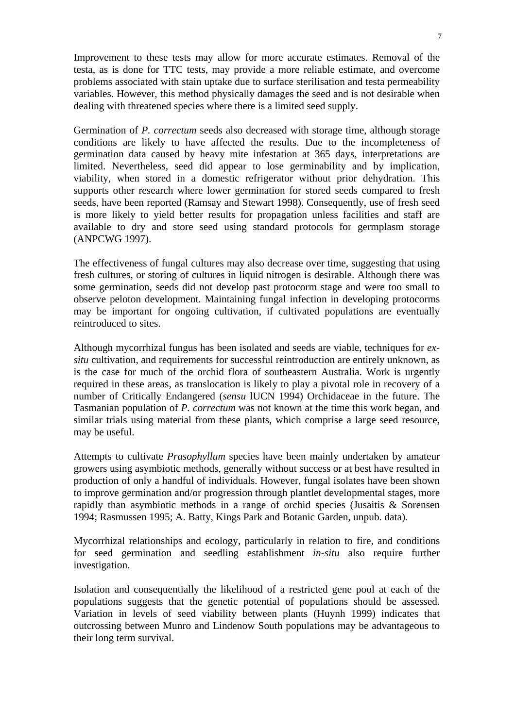Improvement to these tests may allow for more accurate estimates. Removal of the testa, as is done for TTC tests, may provide a more reliable estimate, and overcome problems associated with stain uptake due to surface sterilisation and testa permeability variables. However, this method physically damages the seed and is not desirable when dealing with threatened species where there is a limited seed supply.

Germination of *P. correctum* seeds also decreased with storage time, although storage conditions are likely to have affected the results. Due to the incompleteness of germination data caused by heavy mite infestation at 365 days, interpretations are limited. Nevertheless, seed did appear to lose germinability and by implication, viability, when stored in a domestic refrigerator without prior dehydration. This supports other research where lower germination for stored seeds compared to fresh seeds, have been reported (Ramsay and Stewart 1998). Consequently, use of fresh seed is more likely to yield better results for propagation unless facilities and staff are available to dry and store seed using standard protocols for germplasm storage (ANPCWG 1997).

The effectiveness of fungal cultures may also decrease over time, suggesting that using fresh cultures, or storing of cultures in liquid nitrogen is desirable. Although there was some germination, seeds did not develop past protocorm stage and were too small to observe peloton development. Maintaining fungal infection in developing protocorms may be important for ongoing cultivation, if cultivated populations are eventually reintroduced to sites.

Although mycorrhizal fungus has been isolated and seeds are viable, techniques for *exsitu* cultivation, and requirements for successful reintroduction are entirely unknown, as is the case for much of the orchid flora of southeastern Australia. Work is urgently required in these areas, as translocation is likely to play a pivotal role in recovery of a number of Critically Endangered (*sensu* lUCN 1994) Orchidaceae in the future. The Tasmanian population of *P. correctum* was not known at the time this work began, and similar trials using material from these plants, which comprise a large seed resource, may be useful.

Attempts to cultivate *Prasophyllum* species have been mainly undertaken by amateur growers using asymbiotic methods, generally without success or at best have resulted in production of only a handful of individuals. However, fungal isolates have been shown to improve germination and/or progression through plantlet developmental stages, more rapidly than asymbiotic methods in a range of orchid species (Jusaitis & Sorensen 1994; Rasmussen 1995; A. Batty, Kings Park and Botanic Garden, unpub. data).

Mycorrhizal relationships and ecology, particularly in relation to fire, and conditions for seed germination and seedling establishment *in-situ* also require further investigation.

Isolation and consequentially the likelihood of a restricted gene pool at each of the populations suggests that the genetic potential of populations should be assessed. Variation in levels of seed viability between plants (Huynh 1999) indicates that outcrossing between Munro and Lindenow South populations may be advantageous to their long term survival.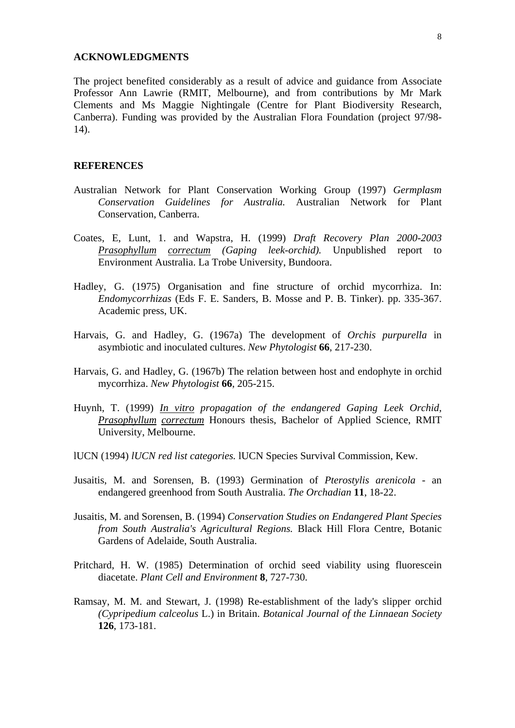#### **ACKNOWLEDGMENTS**

The project benefited considerably as a result of advice and guidance from Associate Professor Ann Lawrie (RMIT, Melbourne), and from contributions by Mr Mark Clements and Ms Maggie Nightingale (Centre for Plant Biodiversity Research, Canberra). Funding was provided by the Australian Flora Foundation (project 97/98- 14).

# **REFERENCES**

- Australian Network for Plant Conservation Working Group (1997) *Germplasm Conservation Guidelines for Australia.* Australian Network for Plant Conservation, Canberra.
- Coates, E, Lunt, 1. and Wapstra, H. (1999) *Draft Recovery Plan 2000-2003 Prasophyllum correctum (Gaping leek-orchid).* Unpublished report to Environment Australia. La Trobe University, Bundoora.
- Hadley, G. (1975) Organisation and fine structure of orchid mycorrhiza. In: *Endomycorrhizas* (Eds F. E. Sanders, B. Mosse and P. B. Tinker). pp. 335-367. Academic press, UK.
- Harvais, G. and Hadley, G. (1967a) The development of *Orchis purpurella* in asymbiotic and inoculated cultures. *New Phytologist* **66**, 217-230.
- Harvais, G. and Hadley, G. (1967b) The relation between host and endophyte in orchid mycorrhiza. *New Phytologist* **66**, 205-215.
- Huynh, T. (1999) *In vitro propagation of the endangered Gaping Leek Orchid, Prasophyllum correctum* Honours thesis, Bachelor of Applied Science, RMIT University, Melbourne.
- lUCN (1994) *lUCN red list categories.* lUCN Species Survival Commission, Kew.
- Jusaitis, M. and Sorensen, B. (1993) Germination of *Pterostylis arenicola* an endangered greenhood from South Australia. *The Orchadian* **11**, 18-22.
- Jusaitis, M. and Sorensen, B. (1994) *Conservation Studies on Endangered Plant Species from South Australia's Agricultural Regions.* Black Hill Flora Centre, Botanic Gardens of Adelaide, South Australia.
- Pritchard, H. W. (1985) Determination of orchid seed viability using fluorescein diacetate. *Plant Cell and Environment* **8**, 727-730.
- Ramsay, M. M. and Stewart, J. (1998) Re-establishment of the lady's slipper orchid *(Cypripedium calceolus* L.) in Britain. *Botanical Journal of the Linnaean Society*  **126**, 173-181.